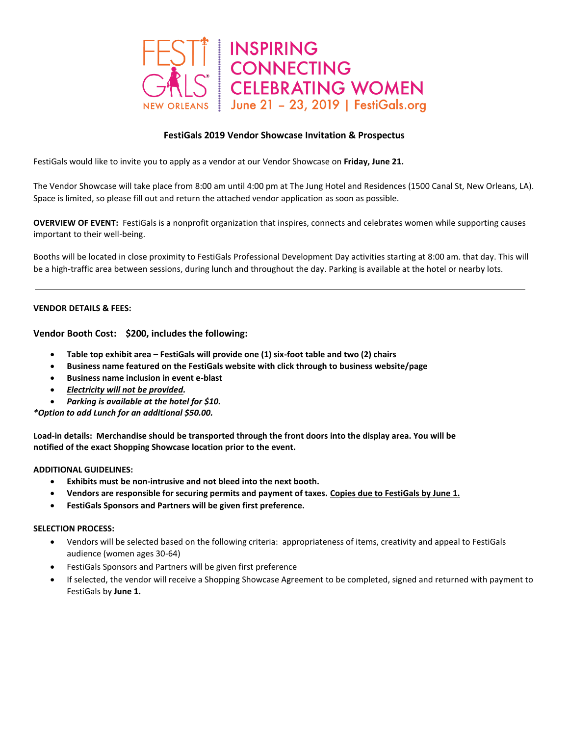

# **FestiGals 2019 Vendor Showcase Invitation & Prospectus**

FestiGals would like to invite you to apply as a vendor at our Vendor Showcase on **Friday, June 21.**

The Vendor Showcase will take place from 8:00 am until 4:00 pm at The Jung Hotel and Residences (1500 Canal St, New Orleans, LA). Space is limited, so please fill out and return the attached vendor application as soon as possible.

**OVERVIEW OF EVENT:** FestiGals is a nonprofit organization that inspires, connects and celebrates women while supporting causes important to their well-being.

Booths will be located in close proximity to FestiGals Professional Development Day activities starting at 8:00 am. that day. This will be a high-traffic area between sessions, during lunch and throughout the day. Parking is available at the hotel or nearby lots.

# **VENDOR DETAILS & FEES:**

**Vendor Booth Cost: \$200, includes the following:**

- **Table top exhibit area – FestiGals will provide one (1) six-foot table and two (2) chairs**
- **Business name featured on the FestiGals website with click through to business website/page**
- **Business name inclusion in event e-blast**
- *Electricity will not be provided.*
- *Parking is available at the hotel for \$10.*

*\*Option to add Lunch for an additional \$50.00.*

**Load-in details: Merchandise should be transported through the front doors into the display area. You will be notified of the exact Shopping Showcase location prior to the event.**

#### **ADDITIONAL GUIDELINES:**

- **Exhibits must be non-intrusive and not bleed into the next booth.**
- **Vendors are responsible for securing permits and payment of taxes. Copies due to FestiGals by June 1.**
- **FestiGals Sponsors and Partners will be given first preference.**

#### **SELECTION PROCESS:**

- Vendors will be selected based on the following criteria: appropriateness of items, creativity and appeal to FestiGals audience (women ages 30-64)
- FestiGals Sponsors and Partners will be given first preference
- If selected, the vendor will receive a Shopping Showcase Agreement to be completed, signed and returned with payment to FestiGals by **June 1.**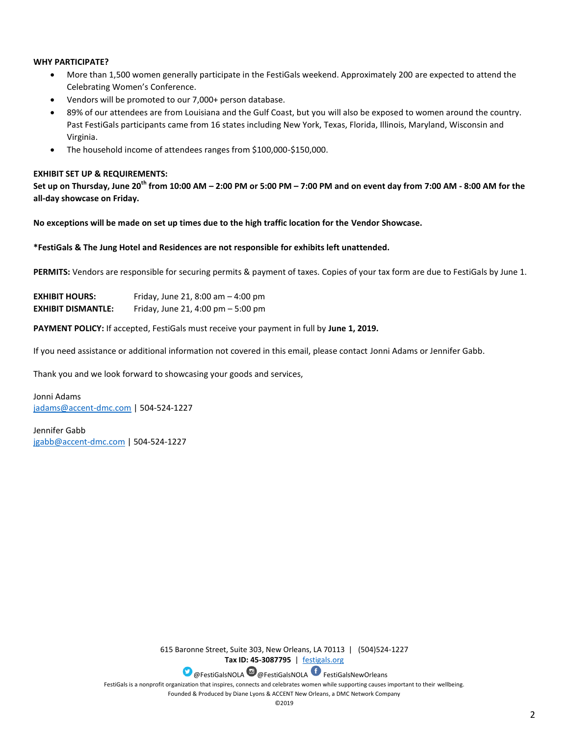# **WHY PARTICIPATE?**

- More than 1,500 women generally participate in the FestiGals weekend. Approximately 200 are expected to attend the Celebrating Women's Conference.
- Vendors will be promoted to our 7,000+ person database.
- 89% of our attendees are from Louisiana and the Gulf Coast, but you will also be exposed to women around the country. Past FestiGals participants came from 16 states including New York, Texas, Florida, Illinois, Maryland, Wisconsin and Virginia.
- The household income of attendees ranges from \$100,000-\$150,000.

## **EXHIBIT SET UP & REQUIREMENTS:**

**Set up on Thursday, June 20th from 10:00 AM – 2:00 PM or 5:00 PM – 7:00 PM and on event day from 7:00 AM - 8:00 AM for the all-day showcase on Friday.**

**No exceptions will be made on set up times due to the high traffic location for the Vendor Showcase.**

#### **\*FestiGals & The Jung Hotel and Residences are not responsible for exhibits left unattended.**

**PERMITS:** Vendors are responsible for securing permits & payment of taxes. Copies of your tax form are due to FestiGals by June 1.

| <b>EXHIBIT HOURS:</b>     | Friday, June 21, 8:00 am $-$ 4:00 pm |
|---------------------------|--------------------------------------|
| <b>EXHIBIT DISMANTLE:</b> | Friday, June 21, 4:00 pm $-5:00$ pm  |

**PAYMENT POLICY:** If accepted, FestiGals must receive your payment in full by **June 1, 2019.**

If you need assistance or additional information not covered in this email, please contact Jonni Adams or Jennifer Gabb.

Thank you and we look forward to showcasing your goods and services,

Jonni Adams [jadams@accent-dmc.com](mailto:jadams@accent-dmc.com) | 504-524-1227

Jennifer Gabb [jgabb@accent-dmc.com](mailto:jgabb@accent-dmc.com) | 504-524-1227

> 615 Baronne Street, Suite 303, New Orleans, LA 70113 | (504)524-1227 **Tax ID: 45-3087795** | [festigals.org](http://www.festigals.org/) **D** @FestiGalsNOLA @ @FestiGalsNOLA FestiGalsNewOrleans FestiGals is a nonprofit organization that inspires, connects and celebrates women while supporting causes important to their wellbeing. Founded & Produced by Diane Lyons & ACCENT New Orleans, a DMC Network Company